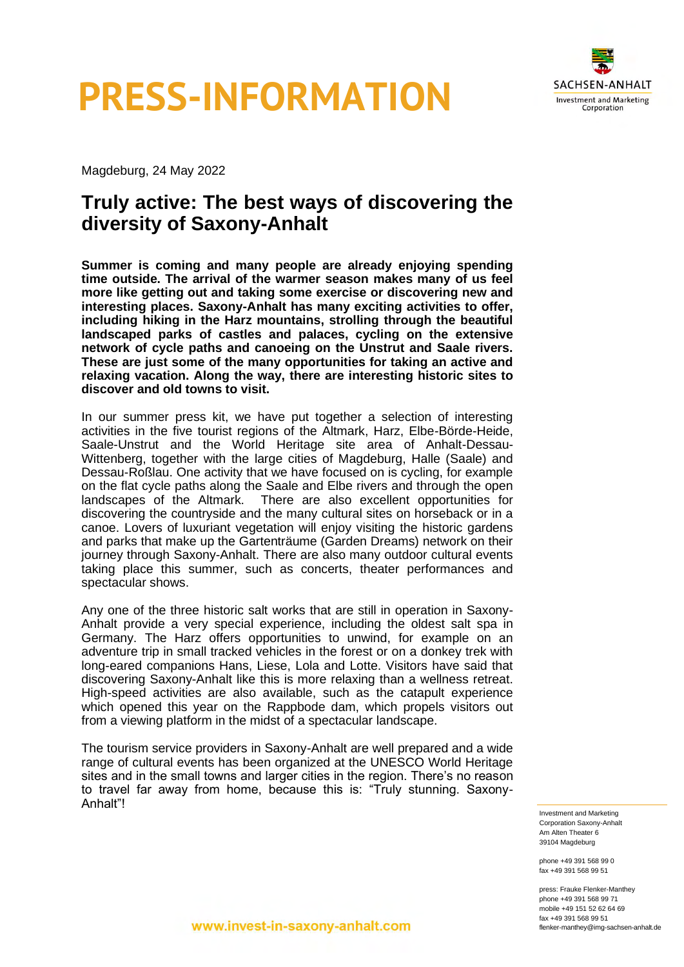



Magdeburg, 24 May 2022

# **Truly active: The best ways of discovering the diversity of Saxony-Anhalt**

**Summer is coming and many people are already enjoying spending time outside. The arrival of the warmer season makes many of us feel more like getting out and taking some exercise or discovering new and interesting places. Saxony-Anhalt has many exciting activities to offer, including hiking in the Harz mountains, strolling through the beautiful landscaped parks of castles and palaces, cycling on the extensive network of cycle paths and canoeing on the Unstrut and Saale rivers. These are just some of the many opportunities for taking an active and relaxing vacation. Along the way, there are interesting historic sites to discover and old towns to visit.** 

In our summer press kit, we have put together a selection of interesting activities in the five tourist regions of the Altmark, Harz, Elbe-Börde-Heide, Saale-Unstrut and the World Heritage site area of Anhalt-Dessau-Wittenberg, together with the large cities of Magdeburg, Halle (Saale) and Dessau-Roßlau. One activity that we have focused on is cycling, for example on the flat cycle paths along the Saale and Elbe rivers and through the open landscapes of the Altmark. There are also excellent opportunities for discovering the countryside and the many cultural sites on horseback or in a canoe. Lovers of luxuriant vegetation will enjoy visiting the historic gardens and parks that make up the Gartenträume (Garden Dreams) network on their journey through Saxony-Anhalt. There are also many outdoor cultural events taking place this summer, such as concerts, theater performances and spectacular shows.

Any one of the three historic salt works that are still in operation in Saxony-Anhalt provide a very special experience, including the oldest salt spa in Germany. The Harz offers opportunities to unwind, for example on an adventure trip in small tracked vehicles in the forest or on a donkey trek with long-eared companions Hans, Liese, Lola and Lotte. Visitors have said that discovering Saxony-Anhalt like this is more relaxing than a wellness retreat. High-speed activities are also available, such as the catapult experience which opened this year on the Rappbode dam, which propels visitors out from a viewing platform in the midst of a spectacular landscape.

The tourism service providers in Saxony-Anhalt are well prepared and a wide range of cultural events has been organized at the UNESCO World Heritage sites and in the small towns and larger cities in the region. There's no reason to travel far away from home, because this is: "Truly stunning. Saxony-Anhalt"!

Investment and Marketing Corporation Saxony-Anhalt Am Alten Theater 6 39104 Magdeburg

phone +49 391 568 99 0 fax +49 391 568 99 51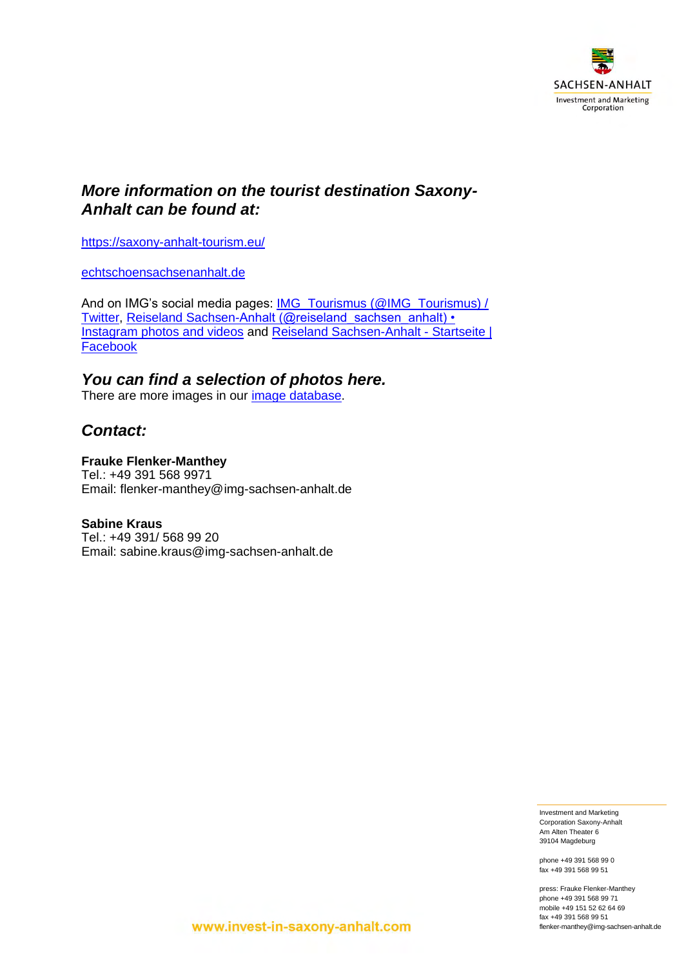

# *More information on the tourist destination Saxony-Anhalt can be found at:*

[https://saxony-anhalt-tourism.eu/](http://www.sachsen-anhalt-tourismus.de/)

[echtschoensachsenanhalt.de](https://echtschoensachsenanhalt.de/)

And on IMG's social media pages: **IMG\_Tourismus (@IMG\_Tourismus) /** [Twitter,](https://twitter.com/img_tourismus) Reiseland Sachsen-Anhalt (@reiseland\_sachsen\_anhalt) • [Instagram photos and videos](https://www.instagram.com/reiseland_sachsen_anhalt/) and [Reiseland Sachsen-Anhalt -](https://www.facebook.com/SachsenAnhaltTourismus) Startseite | **[Facebook](https://www.facebook.com/SachsenAnhaltTourismus)** 

# *You can find a selection of photos here.*

There are more images in our [image database.](https://www.sachsen-anhalt-bilder.de/)

# *Contact:*

### **Frauke Flenker-Manthey**

Tel.: +49 391 568 9971 Email: [flenker-manthey@img-sachsen-anhalt.de](javascript:linkTo_UnCryptMailto()

### **Sabine Kraus**

Tel.: +49 391/ 568 99 20 Email: [sabine.kraus@img-sachsen-anhalt.de](javascript:linkTo_UnCryptMailto()

> Investment and Marketing Corporation Saxony-Anhalt Am Alten Theater 6 39104 Magdeburg

phone +49 391 568 99 0 fax +49 391 568 99 51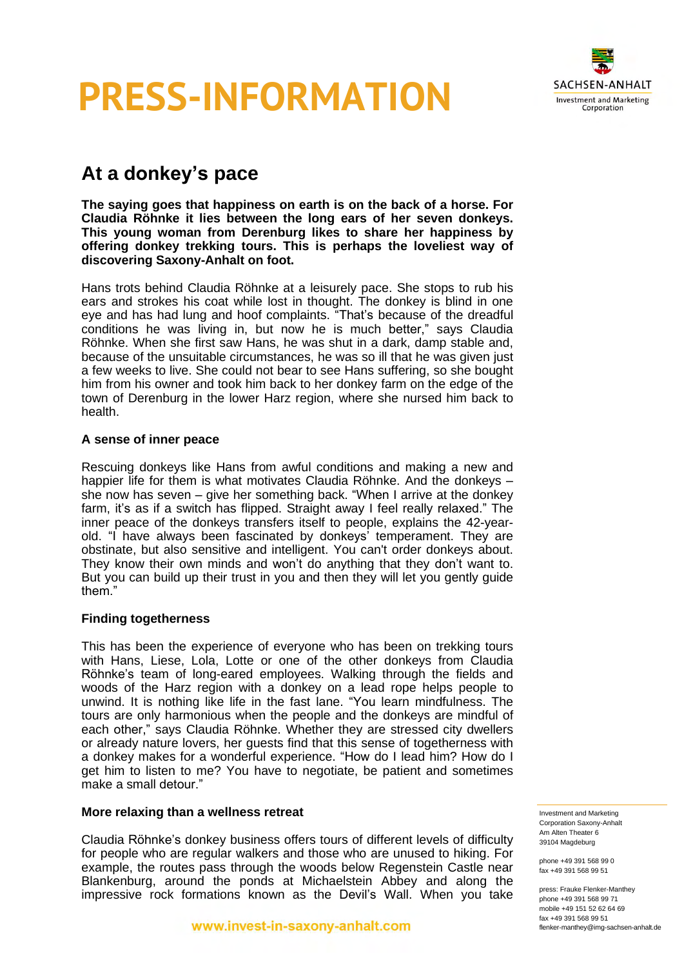



# **At a donkey's pace**

**The saying goes that happiness on earth is on the back of a horse. For Claudia Röhnke it lies between the long ears of her seven donkeys. This young woman from Derenburg likes to share her happiness by offering donkey trekking tours. This is perhaps the loveliest way of discovering Saxony-Anhalt on foot.**

Hans trots behind Claudia Röhnke at a leisurely pace. She stops to rub his ears and strokes his coat while lost in thought. The donkey is blind in one eye and has had lung and hoof complaints. "That's because of the dreadful conditions he was living in, but now he is much better," says Claudia Röhnke. When she first saw Hans, he was shut in a dark, damp stable and, because of the unsuitable circumstances, he was so ill that he was given just a few weeks to live. She could not bear to see Hans suffering, so she bought him from his owner and took him back to her donkey farm on the edge of the town of Derenburg in the lower Harz region, where she nursed him back to health.

#### **A sense of inner peace**

Rescuing donkeys like Hans from awful conditions and making a new and happier life for them is what motivates Claudia Röhnke. And the donkeys – she now has seven – give her something back. "When I arrive at the donkey farm, it's as if a switch has flipped. Straight away I feel really relaxed." The inner peace of the donkeys transfers itself to people, explains the 42-yearold. "I have always been fascinated by donkeys' temperament. They are obstinate, but also sensitive and intelligent. You can't order donkeys about. They know their own minds and won't do anything that they don't want to. But you can build up their trust in you and then they will let you gently guide them."

### **Finding togetherness**

This has been the experience of everyone who has been on trekking tours with Hans, Liese, Lola, Lotte or one of the other donkeys from Claudia Röhnke's team of long-eared employees. Walking through the fields and woods of the Harz region with a donkey on a lead rope helps people to unwind. It is nothing like life in the fast lane. "You learn mindfulness. The tours are only harmonious when the people and the donkeys are mindful of each other," says Claudia Röhnke. Whether they are stressed city dwellers or already nature lovers, her guests find that this sense of togetherness with a donkey makes for a wonderful experience. "How do I lead him? How do I get him to listen to me? You have to negotiate, be patient and sometimes make a small detour."

#### **More relaxing than a wellness retreat**

Claudia Röhnke's donkey business offers tours of different levels of difficulty for people who are regular walkers and those who are unused to hiking. For example, the routes pass through the woods below Regenstein Castle near Blankenburg, around the ponds at Michaelstein Abbey and along the impressive rock formations known as the Devil's Wall. When you take Investment and Marketing Corporation Saxony-Anhalt Am Alten Theater 6 39104 Magdeburg

phone +49 391 568 99 0 fax +49 391 568 99 51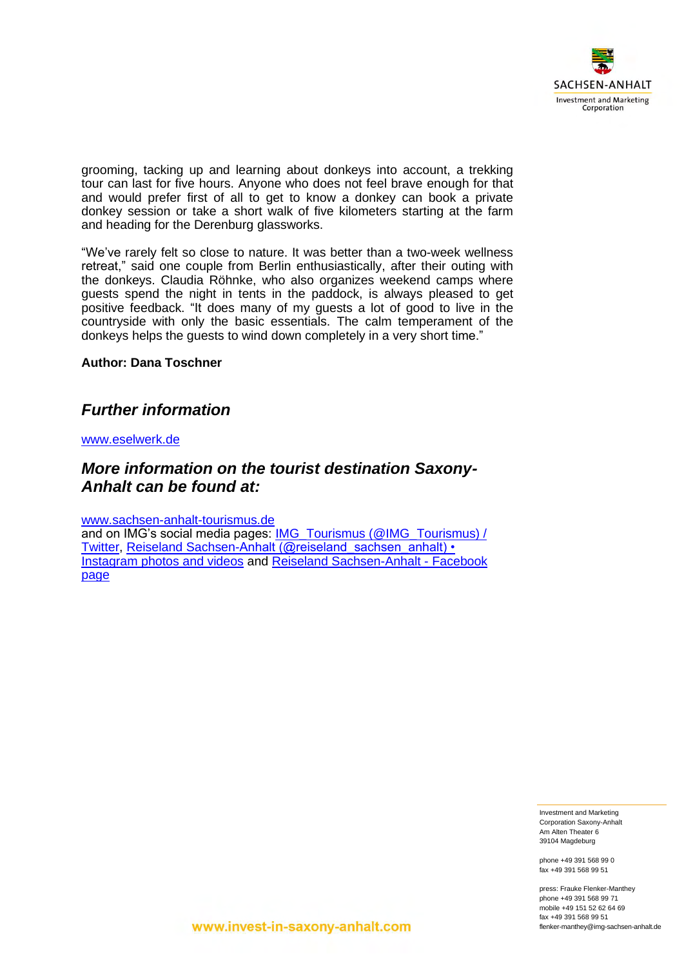

grooming, tacking up and learning about donkeys into account, a trekking tour can last for five hours. Anyone who does not feel brave enough for that and would prefer first of all to get to know a donkey can book a private donkey session or take a short walk of five kilometers starting at the farm and heading for the Derenburg glassworks.

"We've rarely felt so close to nature. It was better than a two-week wellness retreat," said one couple from Berlin enthusiastically, after their outing with the donkeys. Claudia Röhnke, who also organizes weekend camps where guests spend the night in tents in the paddock, is always pleased to get positive feedback. "It does many of my guests a lot of good to live in the countryside with only the basic essentials. The calm temperament of the donkeys helps the guests to wind down completely in a very short time."

#### **Author: Dana Toschner**

## *Further information*

#### [www.eselwerk.de](http://www.eselwerk.de/)

## *More information on the tourist destination Saxony-Anhalt can be found at:*

#### [www.sachsen-anhalt-tourismus.de](http://www.sachsen-anhalt-tourismus.de/)

and on IMG's social media pages: IMG Tourismus (@IMG Tourismus) / [Twitter,](https://twitter.com/img_tourismus) Reiseland Sachsen-[Anhalt \(@reiseland\\_sachsen\\_anhalt\) •](https://www.instagram.com/reiseland_sachsen_anhalt/)  [Instagram photos and videos](https://www.instagram.com/reiseland_sachsen_anhalt/) and [Reiseland Sachsen-Anhalt -](https://www.facebook.com/SachsenAnhaltTourismus) Facebook [page](https://www.facebook.com/SachsenAnhaltTourismus)

> Investment and Marketing Corporation Saxony-Anhalt Am Alten Theater 6 39104 Magdeburg

phone +49 391 568 99 0 fax +49 391 568 99 51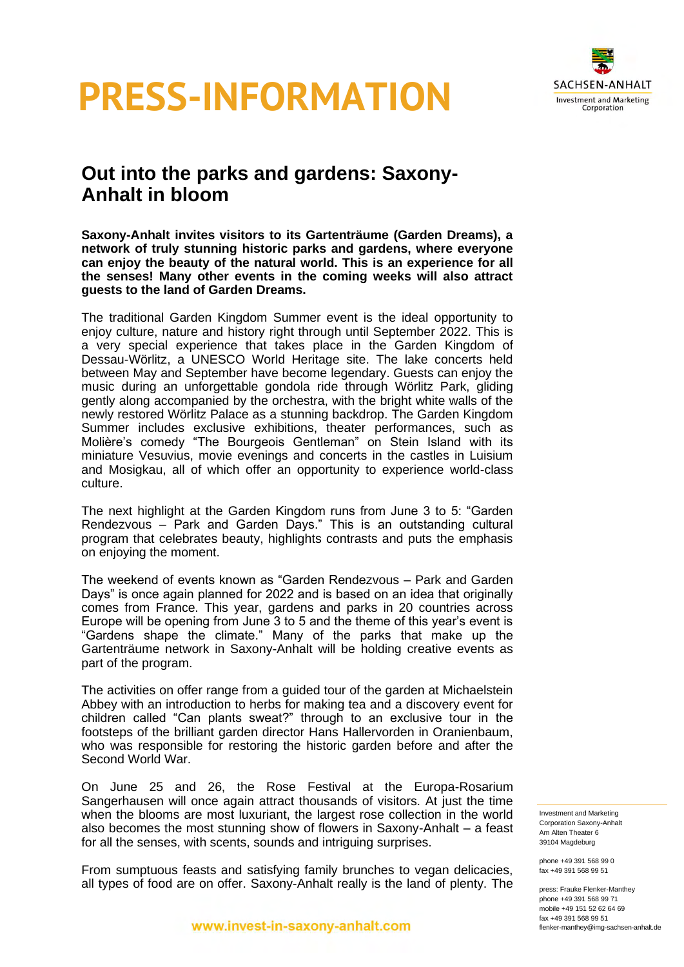



# **Out into the parks and gardens: Saxony-Anhalt in bloom**

**Saxony-Anhalt invites visitors to its Gartenträume (Garden Dreams), a network of truly stunning historic parks and gardens, where everyone can enjoy the beauty of the natural world. This is an experience for all the senses! Many other events in the coming weeks will also attract guests to the land of Garden Dreams.** 

The traditional Garden Kingdom Summer event is the ideal opportunity to enjoy culture, nature and history right through until September 2022. This is a very special experience that takes place in the Garden Kingdom of Dessau-Wörlitz, a UNESCO World Heritage site. The lake concerts held between May and September have become legendary. Guests can enjoy the music during an unforgettable gondola ride through Wörlitz Park, gliding gently along accompanied by the orchestra, with the bright white walls of the newly restored Wörlitz Palace as a stunning backdrop. The Garden Kingdom Summer includes exclusive exhibitions, theater performances, such as Molière's comedy "The Bourgeois Gentleman" on Stein Island with its miniature Vesuvius, movie evenings and concerts in the castles in Luisium and Mosigkau, all of which offer an opportunity to experience world-class culture.

The next highlight at the Garden Kingdom runs from June 3 to 5: "Garden Rendezvous – Park and Garden Days." This is an outstanding cultural program that celebrates beauty, highlights contrasts and puts the emphasis on enjoying the moment.

The weekend of events known as "Garden Rendezvous – Park and Garden Days" is once again planned for 2022 and is based on an idea that originally comes from France. This year, gardens and parks in 20 countries across Europe will be opening from June 3 to 5 and the theme of this year's event is "Gardens shape the climate." Many of the parks that make up the Gartenträume network in Saxony-Anhalt will be holding creative events as part of the program.

The activities on offer range from a guided tour of the garden at Michaelstein Abbey with an introduction to herbs for making tea and a discovery event for children called "Can plants sweat?" through to an exclusive tour in the footsteps of the brilliant garden director Hans Hallervorden in Oranienbaum, who was responsible for restoring the historic garden before and after the Second World War.

On June 25 and 26, the Rose Festival at the Europa-Rosarium Sangerhausen will once again attract thousands of visitors. At just the time when the blooms are most luxuriant, the largest rose collection in the world also becomes the most stunning show of flowers in Saxony-Anhalt – a feast for all the senses, with scents, sounds and intriguing surprises.

From sumptuous feasts and satisfying family brunches to vegan delicacies, all types of food are on offer. Saxony-Anhalt really is the land of plenty. The Investment and Marketing Corporation Saxony-Anhalt Am Alten Theater 6 39104 Magdeburg

phone +49 391 568 99 0 fax +49 391 568 99 51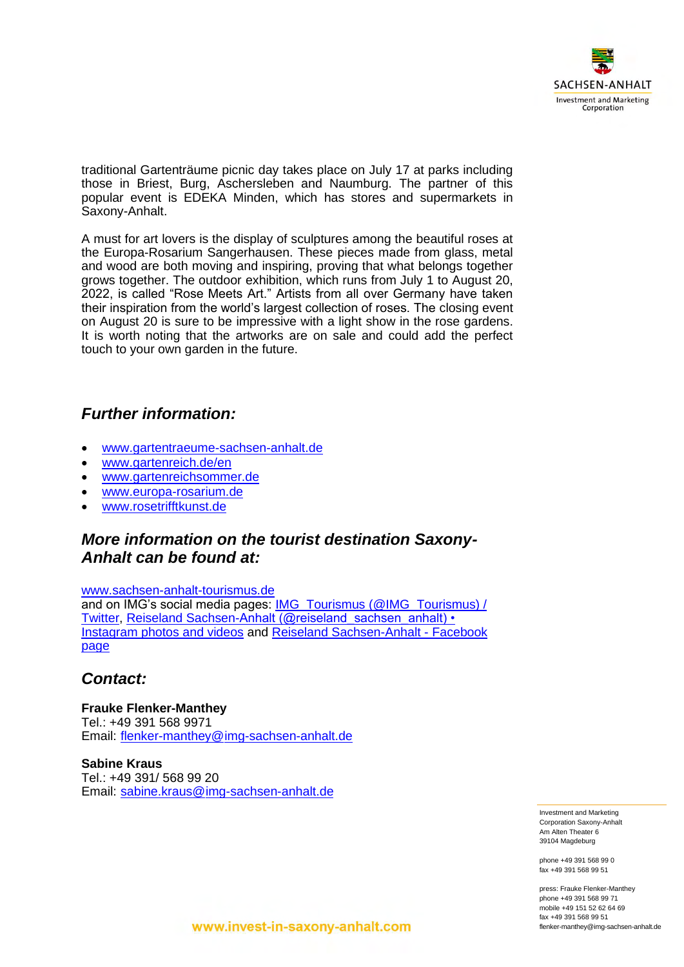

traditional Gartenträume picnic day takes place on July 17 at parks including those in Briest, Burg, Aschersleben and Naumburg. The partner of this popular event is EDEKA Minden, which has stores and supermarkets in Saxony-Anhalt.

A must for art lovers is the display of sculptures among the beautiful roses at the Europa-Rosarium Sangerhausen. These pieces made from glass, metal and wood are both moving and inspiring, proving that what belongs together grows together. The outdoor exhibition, which runs from July 1 to August 20, 2022, is called "Rose Meets Art." Artists from all over Germany have taken their inspiration from the world's largest collection of roses. The closing event on August 20 is sure to be impressive with a light show in the rose gardens. It is worth noting that the artworks are on sale and could add the perfect touch to your own garden in the future.

# *Further information:*

- [www.gartentraeume-sachsen-anhalt.de](http://www.gartentraeume-sachsen-anhalt.de/en/)
- [www.gartenreich.de/en](https://www.gartenreich.de/en)
- [www.gartenreichsommer.de](http://www.gartenreichsommer.de/)
- [www.europa-rosarium.de](http://www.europa-rosarium.de/)
- [www.rosetrifftkunst.de](http://www.rosetrifftkunst.de/)

# *More information on the tourist destination Saxony-Anhalt can be found at:*

[www.sachsen-anhalt-tourismus.de](http://www.sachsen-anhalt-tourismus.de/) and on IMG's social media pages: IMG Tourismus (@IMG Tourismus) / [Twitter,](https://twitter.com/img_tourismus) Reiseland Sachsen-Anhalt (@reiseland\_sachsen\_anhalt) • [Instagram photos and videos](https://www.instagram.com/reiseland_sachsen_anhalt/) and [Reiseland Sachsen-Anhalt -](https://www.facebook.com/SachsenAnhaltTourismus) Facebook [page](https://www.facebook.com/SachsenAnhaltTourismus)

# *Contact:*

**Frauke Flenker-Manthey** Tel.: +49 391 568 9971 Email: [flenker-manthey@img-sachsen-anhalt.de](mailto:flenker-manthey@img-sachsen-anhalt.de)

**Sabine Kraus** Tel.: +49 391/ 568 99 20 Email: [sabine.kraus@img-sachsen-anhalt.de](mailto:sabine.kraus@img-sachsen-anhalt.de)

> Investment and Marketing Corporation Saxony-Anhalt Am Alten Theater 6 39104 Magdeburg

phone +49 391 568 99 0 fax +49 391 568 99 51

press: Frauke Flenker-Manthey phone +49 391 568 99 71 mobile +49 151 52 62 64 69 fax +49 391 568 99 51 flenker-manthey@img-sachsen-anhalt.de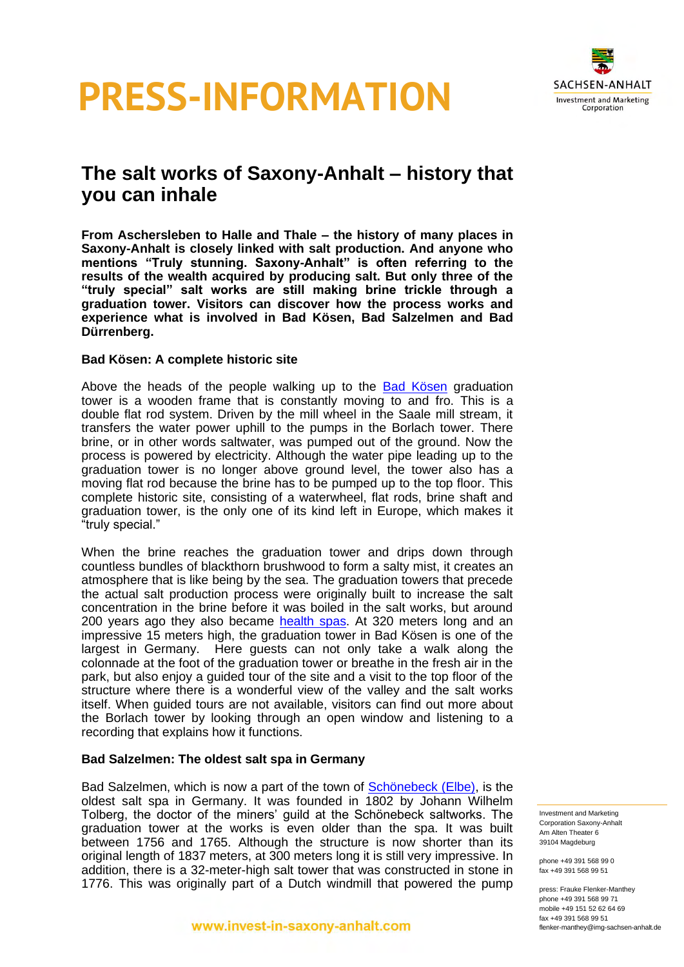



# **The salt works of Saxony-Anhalt – history that you can inhale**

**From Aschersleben to Halle and Thale – the history of many places in Saxony-Anhalt is closely linked with salt production. And anyone who mentions "Truly stunning. Saxony-Anhalt" is often referring to the results of the wealth acquired by producing salt. But only three of the "truly special" salt works are still making brine trickle through a graduation tower. Visitors can discover how the process works and experience what is involved in Bad Kösen, Bad Salzelmen and Bad Dürrenberg.**

#### **Bad Kösen: A complete historic site**

Above the heads of the people walking up to the [Bad Kösen](http://www.saale-unstrut-tourismus.de/) graduation tower is a wooden frame that is constantly moving to and fro. This is a double flat rod system. Driven by the mill wheel in the Saale mill stream, it transfers the water power uphill to the pumps in the Borlach tower. There brine, or in other words saltwater, was pumped out of the ground. Now the process is powered by electricity. Although the water pipe leading up to the graduation tower is no longer above ground level, the tower also has a moving flat rod because the brine has to be pumped up to the top floor. This complete historic site, consisting of a waterwheel, flat rods, brine shaft and graduation tower, is the only one of its kind left in Europe, which makes it "truly special."

When the brine reaches the graduation tower and drips down through countless bundles of blackthorn brushwood to form a salty mist, it creates an atmosphere that is like being by the sea. The graduation towers that precede the actual salt production process were originally built to increase the salt concentration in the brine before it was boiled in the salt works, but around 200 vears ago they also became [health spas.](http://www.koesalina.de/) At 320 meters long and an impressive 15 meters high, the graduation tower in Bad Kösen is one of the largest in Germany. Here guests can not only take a walk along the colonnade at the foot of the graduation tower or breathe in the fresh air in the park, but also enjoy a guided tour of the site and a visit to the top floor of the structure where there is a wonderful view of the valley and the salt works itself. When guided tours are not available, visitors can find out more about the Borlach tower by looking through an open window and listening to a recording that explains how it functions.

#### **Bad Salzelmen: The oldest salt spa in Germany**

Bad Salzelmen, which is now a part of the town of [Schönebeck \(Elbe\),](http://www.schoenebeck.de/de/tourismus.html) is the oldest salt spa in Germany. It was founded in 1802 by Johann Wilhelm Tolberg, the doctor of the miners' guild at the Schönebeck saltworks. The graduation tower at the works is even older than the spa. It was built between 1756 and 1765. Although the structure is now shorter than its original length of 1837 meters, at 300 meters long it is still very impressive. In addition, there is a 32-meter-high salt tower that was constructed in stone in 1776. This was originally part of a Dutch windmill that powered the pump

Investment and Marketing Corporation Saxony-Anhalt Am Alten Theater 6 39104 Magdeburg

phone +49 391 568 99 0 fax +49 391 568 99 51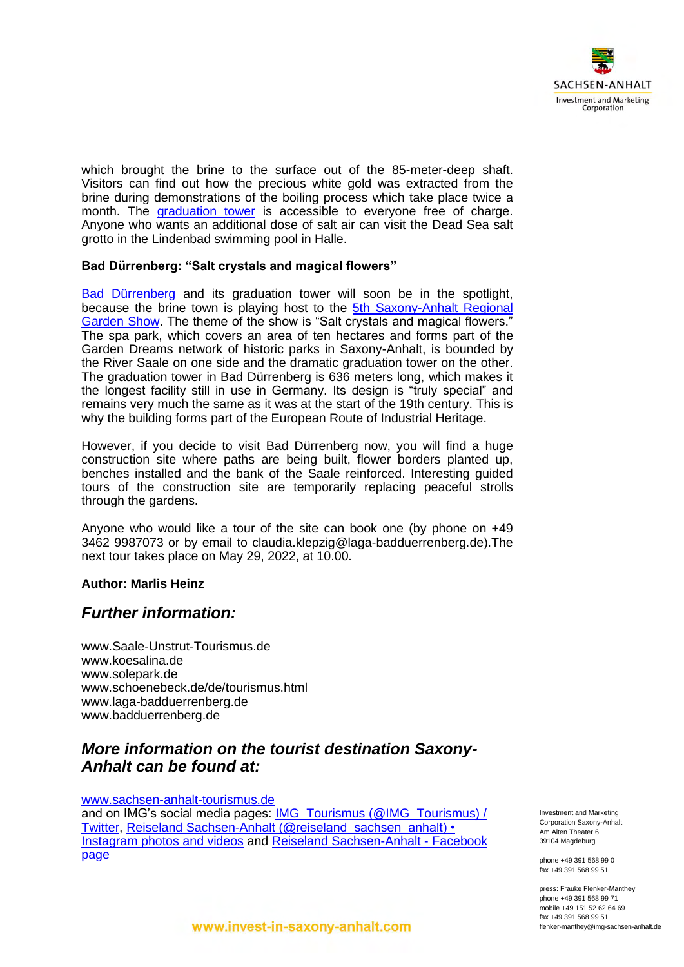

which brought the brine to the surface out of the 85-meter-deep shaft. Visitors can find out how the precious white gold was extracted from the brine during demonstrations of the boiling process which take place twice a month. The [graduation tower](http://www.solepark.de/) is accessible to everyone free of charge. Anyone who wants an additional dose of salt air can visit the Dead Sea salt grotto in the Lindenbad swimming pool in Halle.

#### **Bad Dürrenberg: "Salt crystals and magical flowers"**

[Bad Dürrenberg](http://www.badduerrenberg.de/) and its graduation tower will soon be in the spotlight, because the brine town is playing host to the [5th](http://www.laga-badduerrenberg.de/) [Saxony-Anhalt Regional](http://www.laga-badduerrenberg.de/)  [Garden Show](http://www.laga-badduerrenberg.de/). The theme of the show is "Salt crystals and magical flowers." The spa park, which covers an area of ten hectares and forms part of the Garden Dreams network of historic parks in Saxony-Anhalt, is bounded by the River Saale on one side and the dramatic graduation tower on the other. The graduation tower in Bad Dürrenberg is 636 meters long, which makes it the longest facility still in use in Germany. Its design is "truly special" and remains very much the same as it was at the start of the 19th century. This is why the building forms part of the European Route of Industrial Heritage.

However, if you decide to visit Bad Dürrenberg now, you will find a huge construction site where paths are being built, flower borders planted up, benches installed and the bank of the Saale reinforced. Interesting guided tours of the construction site are temporarily replacing peaceful strolls through the gardens.

Anyone who would like a tour of the site can book one (by phone on +49 3462 9987073 or by email to claudia.klepzig@laga-badduerrenberg.de).The next tour takes place on May 29, 2022, at 10.00.

#### **Author: Marlis Heinz**

## *Further information:*

[www.Saale-Unstrut-Tourismus.de](http://www.saale-unstrut-tourismus.de/) [www.koesalina.de](http://www.koesalina.de/) [www.solepark.de](http://www.solepark.de/) [www.schoenebeck.de/de/tourismus.html](http://www.schoenebeck.de/de/tourismus.html) [www.laga-badduerrenberg.de](http://www.laga-badduerrenberg.de/) [www.badduerrenberg.de](http://www.badduerrenberg.de/)

# *More information on the tourist destination Saxony-Anhalt can be found at:*

[www.sachsen-anhalt-tourismus.de](http://www.sachsen-anhalt-tourismus.de/)

and on IMG's social media pages: IMG Tourismus (@IMG Tourismus) / [Twitter,](https://twitter.com/img_tourismus) Reiseland Sachsen-Anhalt (@reiseland\_sachsen\_anhalt) • [Instagram photos and videos](https://www.instagram.com/reiseland_sachsen_anhalt/) and [Reiseland Sachsen-Anhalt -](https://www.facebook.com/SachsenAnhaltTourismus) Facebook [page](https://www.facebook.com/SachsenAnhaltTourismus)

Investment and Marketing Corporation Saxony-Anhalt Am Alten Theater 6 39104 Magdeburg

phone +49 391 568 99 0 fax +49 391 568 99 51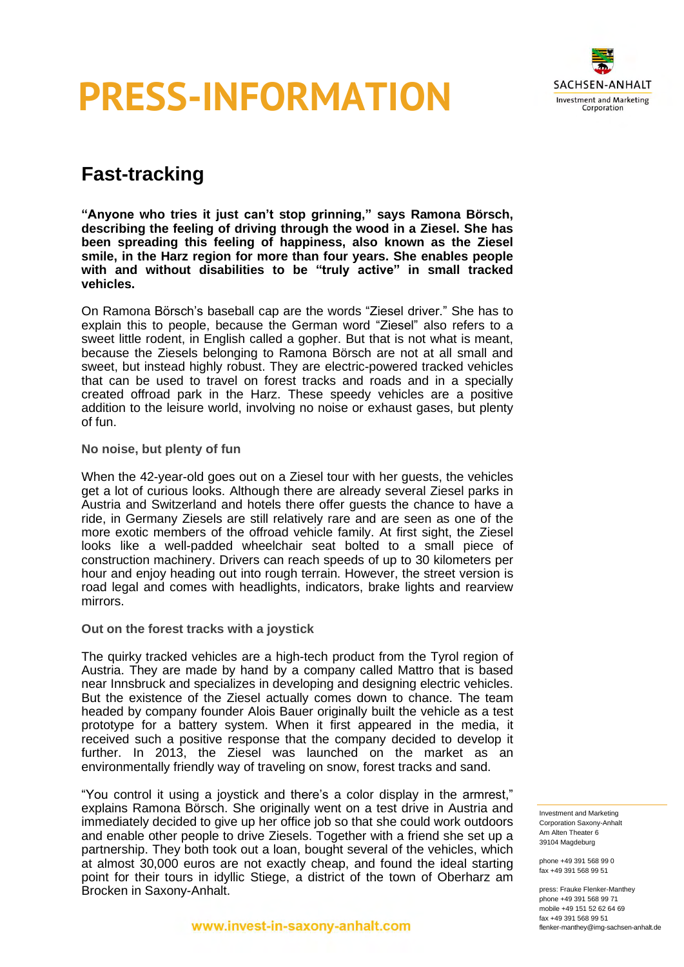



# **Fast-tracking**

**"Anyone who tries it just can't stop grinning," says Ramona Börsch, describing the feeling of driving through the wood in a Ziesel. She has been spreading this feeling of happiness, also known as the Ziesel smile, in the Harz region for more than four years. She enables people with and without disabilities to be "truly active" in small tracked vehicles.**

On Ramona Börsch's baseball cap are the words "Ziesel driver." She has to explain this to people, because the German word "Ziesel" also refers to a sweet little rodent, in English called a gopher. But that is not what is meant, because the Ziesels belonging to Ramona Börsch are not at all small and sweet, but instead highly robust. They are electric-powered tracked vehicles that can be used to travel on forest tracks and roads and in a specially created offroad park in the Harz. These speedy vehicles are a positive addition to the leisure world, involving no noise or exhaust gases, but plenty of fun.

#### **No noise, but plenty of fun**

When the 42-year-old goes out on a Ziesel tour with her guests, the vehicles get a lot of curious looks. Although there are already several Ziesel parks in Austria and Switzerland and hotels there offer guests the chance to have a ride, in Germany Ziesels are still relatively rare and are seen as one of the more exotic members of the offroad vehicle family. At first sight, the Ziesel looks like a well-padded wheelchair seat bolted to a small piece of construction machinery. Drivers can reach speeds of up to 30 kilometers per hour and enjoy heading out into rough terrain. However, the street version is road legal and comes with headlights, indicators, brake lights and rearview mirrors.

#### **Out on the forest tracks with a joystick**

The quirky tracked vehicles are a high-tech product from the Tyrol region of Austria. They are made by hand by a company called Mattro that is based near Innsbruck and specializes in developing and designing electric vehicles. But the existence of the Ziesel actually comes down to chance. The team headed by company founder Alois Bauer originally built the vehicle as a test prototype for a battery system. When it first appeared in the media, it received such a positive response that the company decided to develop it further. In 2013, the Ziesel was launched on the market as an environmentally friendly way of traveling on snow, forest tracks and sand.

"You control it using a joystick and there's a color display in the armrest," explains Ramona Börsch. She originally went on a test drive in Austria and immediately decided to give up her office job so that she could work outdoors and enable other people to drive Ziesels. Together with a friend she set up a partnership. They both took out a loan, bought several of the vehicles, which at almost 30,000 euros are not exactly cheap, and found the ideal starting point for their tours in idyllic Stiege, a district of the town of Oberharz am Brocken in Saxony-Anhalt.

www.invest-in-saxony-anhalt.com

Investment and Marketing Corporation Saxony-Anhalt Am Alten Theater 6 39104 Magdeburg

phone +49 391 568 99 0 fax +49 391 568 99 51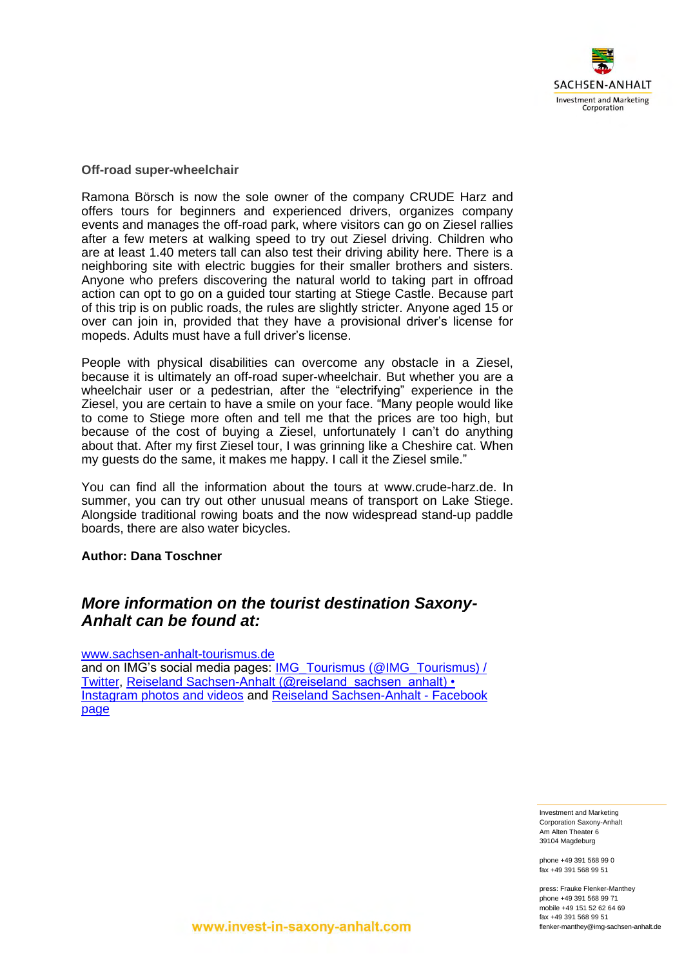

**Off-road super-wheelchair**

Ramona Börsch is now the sole owner of the company CRUDE Harz and offers tours for beginners and experienced drivers, organizes company events and manages the off-road park, where visitors can go on Ziesel rallies after a few meters at walking speed to try out Ziesel driving. Children who are at least 1.40 meters tall can also test their driving ability here. There is a neighboring site with electric buggies for their smaller brothers and sisters. Anyone who prefers discovering the natural world to taking part in offroad action can opt to go on a guided tour starting at Stiege Castle. Because part of this trip is on public roads, the rules are slightly stricter. Anyone aged 15 or over can join in, provided that they have a provisional driver's license for mopeds. Adults must have a full driver's license.

People with physical disabilities can overcome any obstacle in a Ziesel, because it is ultimately an off-road super-wheelchair. But whether you are a wheelchair user or a pedestrian, after the "electrifying" experience in the Ziesel, you are certain to have a smile on your face. "Many people would like to come to Stiege more often and tell me that the prices are too high, but because of the cost of buying a Ziesel, unfortunately I can't do anything about that. After my first Ziesel tour, I was grinning like a Cheshire cat. When my guests do the same, it makes me happy. I call it the Ziesel smile."

You can find all the information about the tours at [www.crude-harz.de.](http://www.crude-harz.de/) In summer, you can try out other unusual means of transport on Lake Stiege. Alongside traditional rowing boats and the now widespread stand-up paddle boards, there are also water bicycles.

#### **Author: Dana Toschner**

## *More information on the tourist destination Saxony-Anhalt can be found at:*

[www.sachsen-anhalt-tourismus.de](http://www.sachsen-anhalt-tourismus.de/)

and on IMG's social media pages: IMG\_Tourismus (@IMG\_Tourismus) / [Twitter,](https://twitter.com/img_tourismus) Reiseland Sachsen-[Anhalt \(@reiseland\\_sachsen\\_anhalt\) •](https://www.instagram.com/reiseland_sachsen_anhalt/)  [Instagram photos and videos](https://www.instagram.com/reiseland_sachsen_anhalt/) and [Reiseland Sachsen-Anhalt -](https://www.facebook.com/SachsenAnhaltTourismus) Facebook [page](https://www.facebook.com/SachsenAnhaltTourismus)

> Investment and Marketing Corporation Saxony-Anhalt Am Alten Theater 6 39104 Magdeburg

phone +49 391 568 99 0 fax +49 391 568 99 51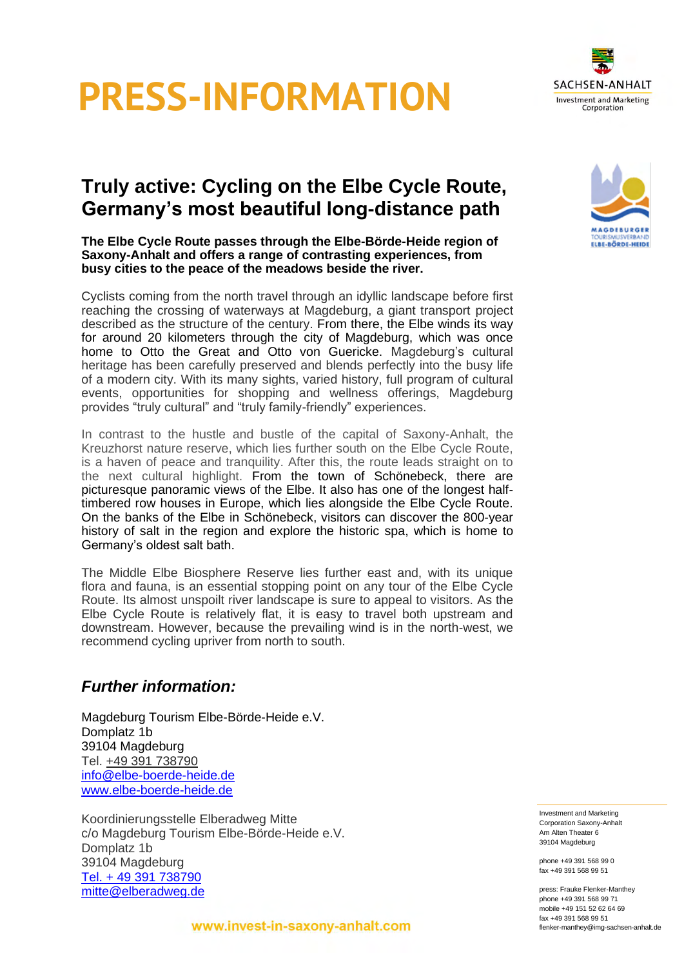

**ELBE-BÖRDE-HEIDE** 

# **Truly active: Cycling on the Elbe Cycle Route, Germany's most beautiful long-distance path**

#### **The Elbe Cycle Route passes through the Elbe-Börde-Heide region of Saxony-Anhalt and offers a range of contrasting experiences, from busy cities to the peace of the meadows beside the river.**

Cyclists coming from the north travel through an idyllic landscape before first reaching the crossing of waterways at Magdeburg, a giant transport project described as the structure of the century. From there, the Elbe winds its way for around 20 kilometers through the city of Magdeburg, which was once home to Otto the Great and Otto von Guericke. Magdeburg's cultural heritage has been carefully preserved and blends perfectly into the busy life of a modern city. With its many sights, varied history, full program of cultural events, opportunities for shopping and wellness offerings, Magdeburg provides "truly cultural" and "truly family-friendly" experiences.

In contrast to the hustle and bustle of the capital of Saxony-Anhalt, the Kreuzhorst nature reserve, which lies further south on the Elbe Cycle Route, is a haven of peace and tranquility. After this, the route leads straight on to the next cultural highlight. From the town of Schönebeck, there are picturesque panoramic views of the Elbe. It also has one of the longest halftimbered row houses in Europe, which lies alongside the Elbe Cycle Route. On the banks of the Elbe in Schönebeck, visitors can discover the 800-year history of salt in the region and explore the historic spa, which is home to Germany's oldest salt bath.

The Middle Elbe Biosphere Reserve lies further east and, with its unique flora and fauna, is an essential stopping point on any tour of the Elbe Cycle Route. Its almost unspoilt river landscape is sure to appeal to visitors. As the Elbe Cycle Route is relatively flat, it is easy to travel both upstream and downstream. However, because the prevailing wind is in the north-west, we recommend cycling upriver from north to south.

# *Further information:*

Magdeburg Tourism Elbe-Börde-Heide e.V. Domplatz 1b 39104 Magdeburg Tel. +49 391 [738790](tel:%20+49%20391%20738790) [info@elbe-boerde-heide.de](mailto:info@elbe-boerde-heide.de) [www.elbe-boerde-heide.de](http://www.elbe-boerde-heide.de/)

Koordinierungsstelle Elberadweg Mitte c/o Magdeburg Tourism Elbe-Börde-Heide e.V. Domplatz 1b 39104 Magdeburg [Tel. + 49 391 738790](tel:%20+49%20391%20738790) [mitte@elberadweg.de](mailto:mitte@elberadweg.de)

Investment and Marketing Corporation Saxony-Anhalt Am Alten Theater 6 39104 Magdeburg

phone +49 391 568 99 0 fax +49 391 568 99 51

press: Frauke Flenker-Manthey phone +49 391 568 99 71 mobile +49 151 52 62 64 69 fax +49 391 568 99 51 flenker-manthey@img-sachsen-anhalt.de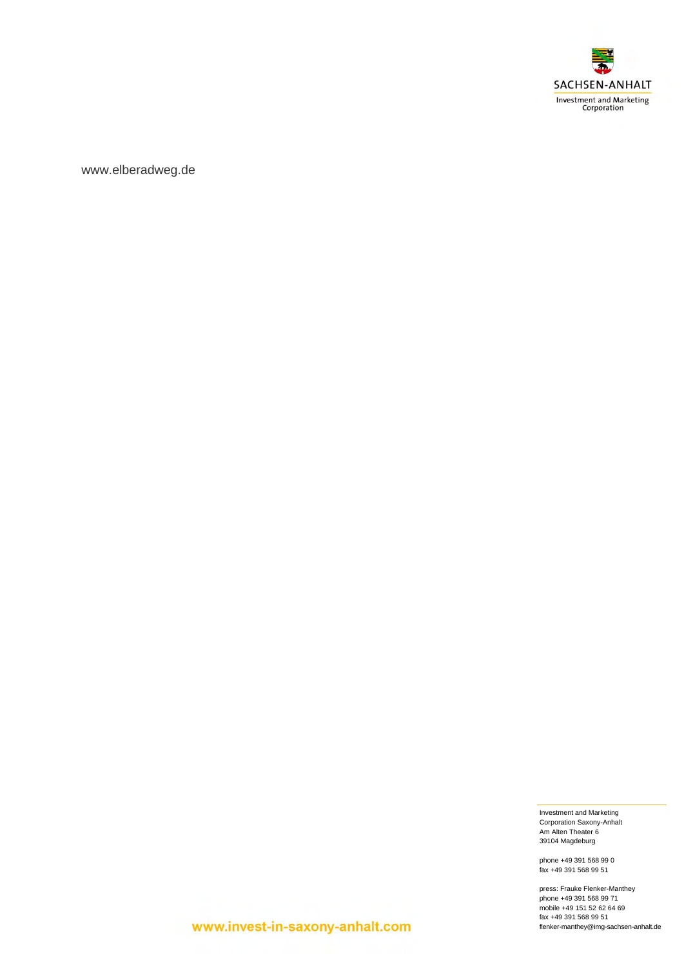

www.elberadweg.de

Investment and Marketing Corporation Saxony-Anhalt Am Alten Theater 6 39104 Magdeburg

phone +49 391 568 99 0 fax +49 391 568 99 51

press: Frauke Flenker-Manthey phone +49 391 568 99 71 mobile +49 151 52 62 64 69 fax +49 391 568 99 51 flenker-manthey@img-sachsen-anhalt.de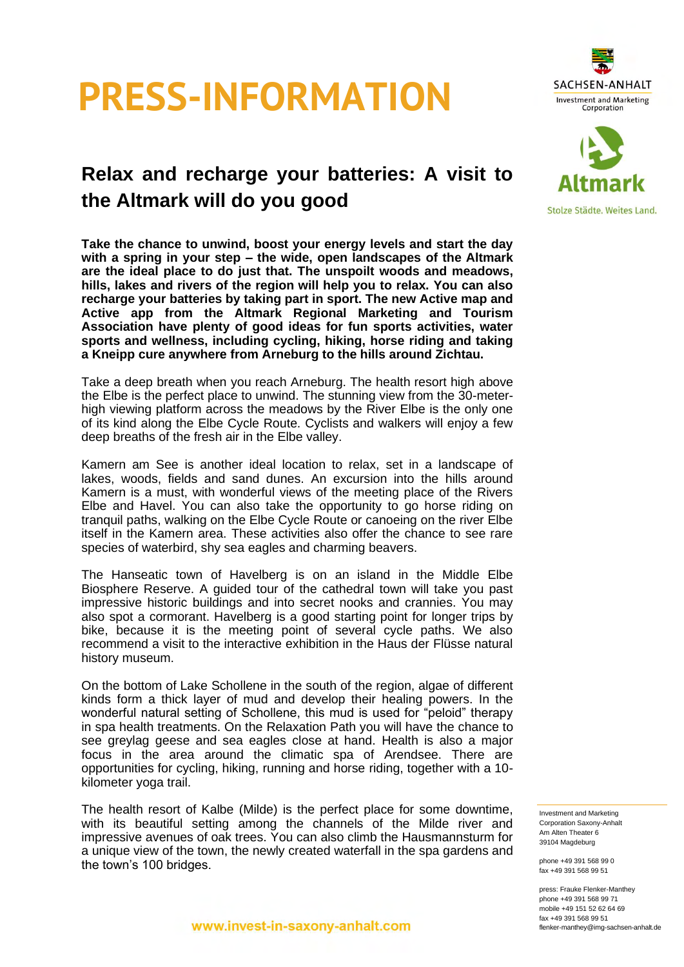



# **Relax and recharge your batteries: A visit to the Altmark will do you good**

**Take the chance to unwind, boost your energy levels and start the day with a spring in your step – the wide, open landscapes of the Altmark are the ideal place to do just that. The unspoilt woods and meadows, hills, lakes and rivers of the region will help you to relax. You can also recharge your batteries by taking part in sport. The new Active map and Active app from the Altmark Regional Marketing and Tourism Association have plenty of good ideas for fun sports activities, water sports and wellness, including cycling, hiking, horse riding and taking a Kneipp cure anywhere from Arneburg to the hills around Zichtau.** 

Take a deep breath when you reach Arneburg. The health resort high above the Elbe is the perfect place to unwind. The stunning view from the 30-meterhigh viewing platform across the meadows by the River Elbe is the only one of its kind along the Elbe Cycle Route. Cyclists and walkers will enjoy a few deep breaths of the fresh air in the Elbe valley.

Kamern am See is another ideal location to relax, set in a landscape of lakes, woods, fields and sand dunes. An excursion into the hills around Kamern is a must, with wonderful views of the meeting place of the Rivers Elbe and Havel. You can also take the opportunity to go horse riding on tranquil paths, walking on the Elbe Cycle Route or canoeing on the river Elbe itself in the Kamern area. These activities also offer the chance to see rare species of waterbird, shy sea eagles and charming beavers.

The Hanseatic town of Havelberg is on an island in the Middle Elbe Biosphere Reserve. A guided tour of the cathedral town will take you past impressive historic buildings and into secret nooks and crannies. You may also spot a cormorant. Havelberg is a good starting point for longer trips by bike, because it is the meeting point of several cycle paths. We also recommend a visit to the interactive exhibition in the Haus der Flüsse natural history museum.

On the bottom of Lake Schollene in the south of the region, algae of different kinds form a thick layer of mud and develop their healing powers. In the wonderful natural setting of Schollene, this mud is used for "peloid" therapy in spa health treatments. On the Relaxation Path you will have the chance to see greylag geese and sea eagles close at hand. Health is also a major focus in the area around the climatic spa of Arendsee. There are opportunities for cycling, hiking, running and horse riding, together with a 10 kilometer yoga trail.

The health resort of Kalbe (Milde) is the perfect place for some downtime, with its beautiful setting among the channels of the Milde river and impressive avenues of oak trees. You can also climb the Hausmannsturm for a unique view of the town, the newly created waterfall in the spa gardens and the town's 100 bridges.

Investment and Marketing Corporation Saxony-Anhalt Am Alten Theater 6 39104 Magdeburg

phone +49 391 568 99 0 fax +49 391 568 99 51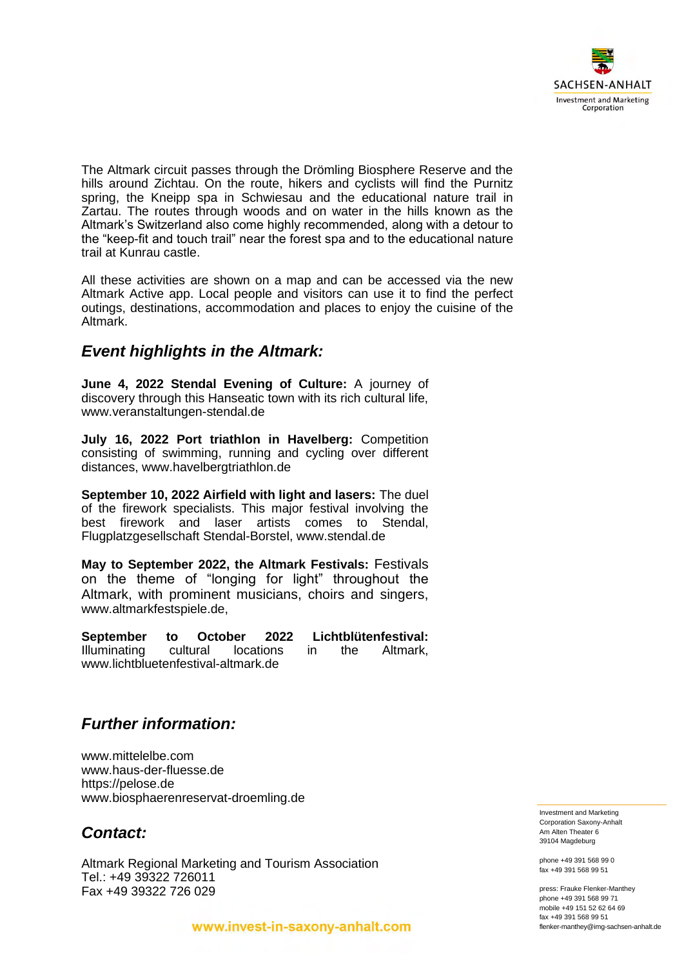

The Altmark circuit passes through the Drömling Biosphere Reserve and the hills around Zichtau. On the route, hikers and cyclists will find the Purnitz spring, the Kneipp spa in Schwiesau and the educational nature trail in Zartau. The routes through woods and on water in the hills known as the Altmark's Switzerland also come highly recommended, along with a detour to the "keep-fit and touch trail" near the forest spa and to the educational nature trail at Kunrau castle.

All these activities are shown on a map and can be accessed via the new Altmark Active app. Local people and visitors can use it to find the perfect outings, destinations, accommodation and places to enjoy the cuisine of the Altmark.

## *Event highlights in the Altmark:*

**June 4, 2022 Stendal Evening of Culture:** A journey of discovery through this Hanseatic town with its rich cultural life, [www.veranstaltungen-stendal.de](http://www.veranstaltungen-stendal.de/)

**July 16, 2022 Port triathlon in Havelberg:** Competition consisting of swimming, running and cycling over different distances, [www.havelbergtriathlon.de](http://www.havelbergtriathlon.de/)

**September 10, 2022 Airfield with light and lasers:** The duel of the firework specialists. This major festival involving the best firework and laser artists comes to Stendal, Flugplatzgesellschaft Stendal-Borstel, www.stendal.de

**May to September 2022, the Altmark Festivals:** Festivals on the theme of "longing for light" throughout the Altmark, with prominent musicians, choirs and singers, [www.altmarkfestspiele.de,](http://www.altmarkfestspiele.de/)

**September to October 2022 Lichtblütenfestival:** Illuminating cultural locations in the Altmark, [www.lichtbluetenfestival-altmark.de](http://www.lichtbluetenfestival-altmark.de/)

## *Further information:*

[www.mittelelbe.com](http://www.mittelelbe.com/) [www.haus-der-fluesse.de](http://www.haus-der-fluesse.de/) [https://pelose.de](https://pelose.de/) [www.biosphaerenreservat-droemling.de](http://www.biosphaerenreservat-droemling.de/)

# *Contact:*

Altmark Regional Marketing and Tourism Association Tel.: +49 39322 726011 Fax +49 39322 726 029

Investment and Marketing Corporation Saxony-Anhalt Am Alten Theater 6 39104 Magdeburg

phone +49 391 568 99 0 fax +49 391 568 99 51

press: Frauke Flenker-Manthey phone +49 391 568 99 71 mobile +49 151 52 62 64 69 fax +49 391 568 99 51 flenker-manthey@img-sachsen-anhalt.de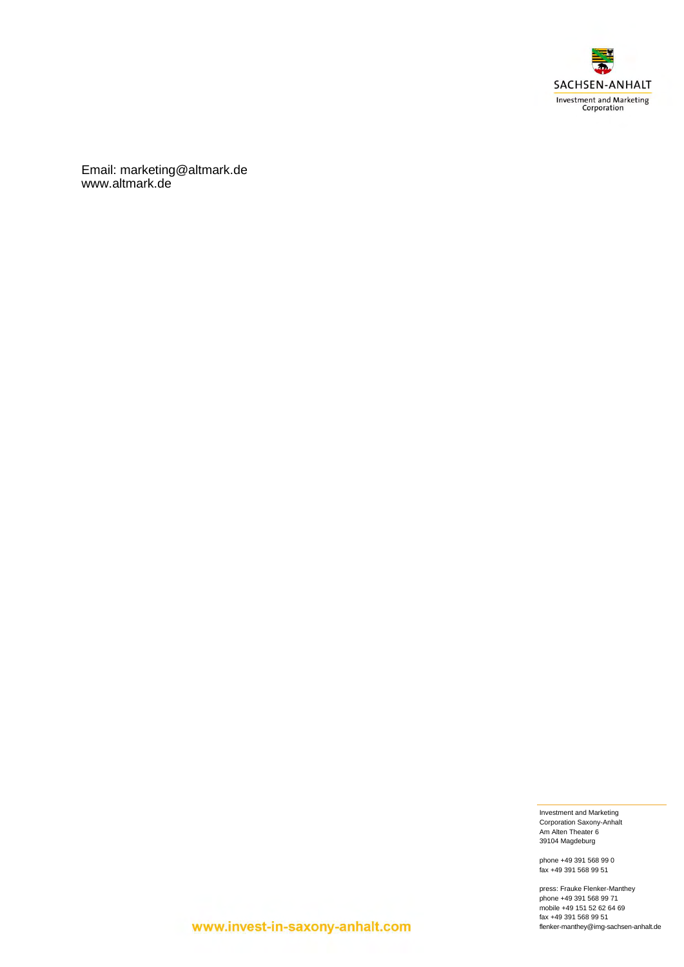

Email: [marketing@altmark.de](mailto:marketing@altmark.de) [www.altmark.de](https://www.altmark.de/en/)

> Investment and Marketing Corporation Saxony-Anhalt Am Alten Theater 6 39104 Magdeburg

phone +49 391 568 99 0 fax +49 391 568 99 51

press: Frauke Flenker-Manthey phone +49 391 568 99 71 mobile +49 151 52 62 64 69 fax +49 391 568 99 51 flenker-manthey@img-sachsen-anhalt.de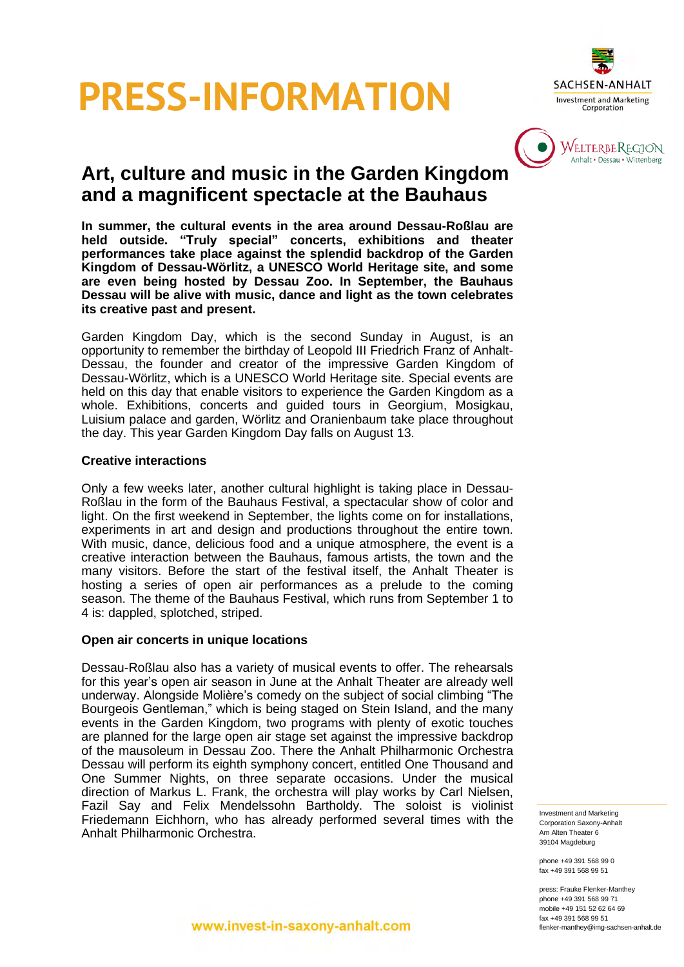



# **Art, culture and music in the Garden Kingdom and a magnificent spectacle at the Bauhaus**

**In summer, the cultural events in the area around Dessau-Roßlau are held outside. "Truly special" concerts, exhibitions and theater performances take place against the splendid backdrop of the Garden Kingdom of Dessau-Wörlitz, a UNESCO World Heritage site, and some are even being hosted by Dessau Zoo. In September, the Bauhaus Dessau will be alive with music, dance and light as the town celebrates its creative past and present.**

Garden Kingdom Day, which is the second Sunday in August, is an opportunity to remember the birthday of Leopold III Friedrich Franz of Anhalt-Dessau, the founder and creator of the impressive Garden Kingdom of Dessau-Wörlitz, which is a UNESCO World Heritage site. Special events are held on this day that enable visitors to experience the Garden Kingdom as a whole. Exhibitions, concerts and guided tours in Georgium, Mosigkau, Luisium palace and garden, Wörlitz and Oranienbaum take place throughout the day. This year Garden Kingdom Day falls on August 13.

#### **Creative interactions**

Only a few weeks later, another cultural highlight is taking place in Dessau-Roßlau in the form of the Bauhaus Festival, a spectacular show of color and light. On the first weekend in September, the lights come on for installations, experiments in art and design and productions throughout the entire town. With music, dance, delicious food and a unique atmosphere, the event is a creative interaction between the Bauhaus, famous artists, the town and the many visitors. Before the start of the festival itself, the Anhalt Theater is hosting a series of open air performances as a prelude to the coming season. The theme of the Bauhaus Festival, which runs from September 1 to 4 is: dappled, splotched, striped.

#### **Open air concerts in unique locations**

Dessau-Roßlau also has a variety of musical events to offer. The rehearsals for this year's open air season in June at the Anhalt Theater are already well underway. Alongside Molière's comedy on the subject of social climbing "The Bourgeois Gentleman," which is being staged on Stein Island, and the many events in the Garden Kingdom, two programs with plenty of exotic touches are planned for the large open air stage set against the impressive backdrop of the mausoleum in Dessau Zoo. There the Anhalt Philharmonic Orchestra Dessau will perform its eighth symphony concert, entitled One Thousand and One Summer Nights, on three separate occasions. Under the musical direction of Markus L. Frank, the orchestra will play works by Carl Nielsen, Fazil Say and Felix Mendelssohn Bartholdy. The soloist is violinist Friedemann Eichhorn, who has already performed several times with the Anhalt Philharmonic Orchestra.

Investment and Marketing Corporation Saxony-Anhalt Am Alten Theater 6 39104 Magdeburg

phone +49 391 568 99 0 fax +49 391 568 99 51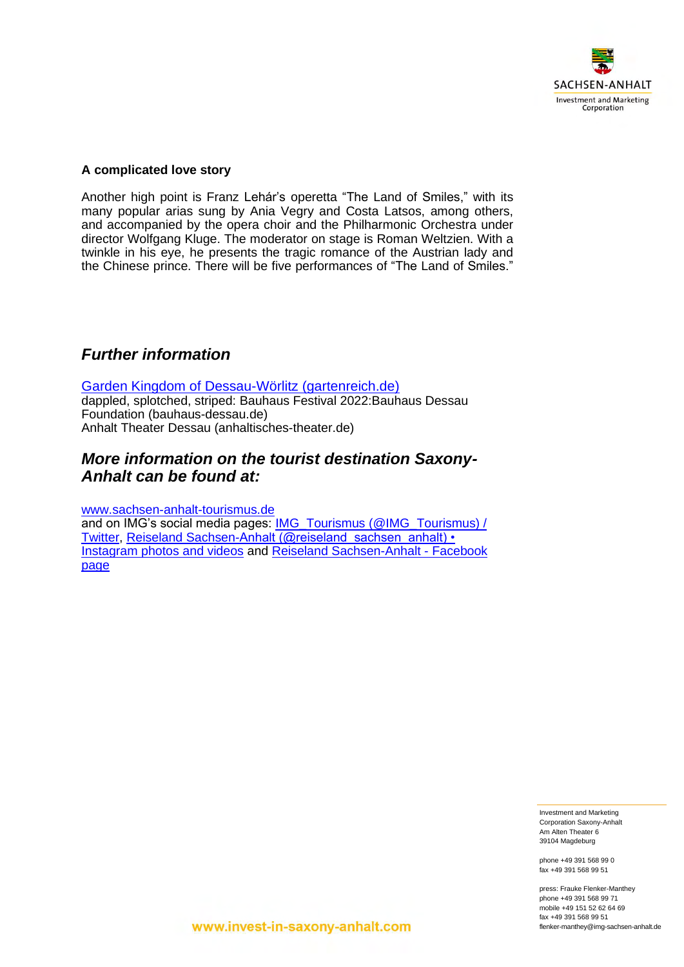

#### **A complicated love story**

Another high point is Franz Lehár's operetta "The Land of Smiles," with its many popular arias sung by Ania Vegry and Costa Latsos, among others, and accompanied by the opera choir and the Philharmonic Orchestra under director Wolfgang Kluge. The moderator on stage is Roman Weltzien. With a twinkle in his eye, he presents the tragic romance of the Austrian lady and the Chinese prince. There will be five performances of "The Land of Smiles."

## *Further information*

Garden Kingdom of [Dessau-Wörlitz \(gartenreich.de\)](https://www.gartenreich.de/de/) dappled, [splotched,](https://www.bauhaus-dessau.de/bauhausfest-2022.html?msclkid=2502a9c1d03211ec82acc87ac8c423ff) striped: [Bauhaus](https://www.bauhaus-dessau.de/bauhausfest-2022.html?msclkid=2502a9c1d03211ec82acc87ac8c423ff) Festival 2022[:Bauhaus](https://www.bauhaus-dessau.de/bauhausfest-2022.html?msclkid=2502a9c1d03211ec82acc87ac8c423ff) Dessau Foundation [\(bauhaus-dessau.de\)](https://www.bauhaus-dessau.de/bauhausfest-2022.html?msclkid=2502a9c1d03211ec82acc87ac8c423ff) Anhalt Theater Dessau [\(anhaltisches-theater.de\)](https://anhaltisches-theater.de/)

# *More information on the tourist destination Saxony-Anhalt can be found at:*

[www.sachsen-anhalt-tourismus.de](http://www.sachsen-anhalt-tourismus.de/)

and on IMG's social media pages: [IMG\\_Tourismus \(@IMG\\_Tourismus\) /](https://twitter.com/img_tourismus)  [Twitter,](https://twitter.com/img_tourismus) Reiseland Sachsen-Anhalt (@reiseland\_sachsen\_anhalt) • [Instagram photos and videos](https://www.instagram.com/reiseland_sachsen_anhalt/) and [Reiseland Sachsen-Anhalt -](https://www.facebook.com/SachsenAnhaltTourismus) Facebook [page](https://www.facebook.com/SachsenAnhaltTourismus)

> Investment and Marketing Corporation Saxony-Anhalt Am Alten Theater 6 39104 Magdeburg

phone +49 391 568 99 0 fax +49 391 568 99 51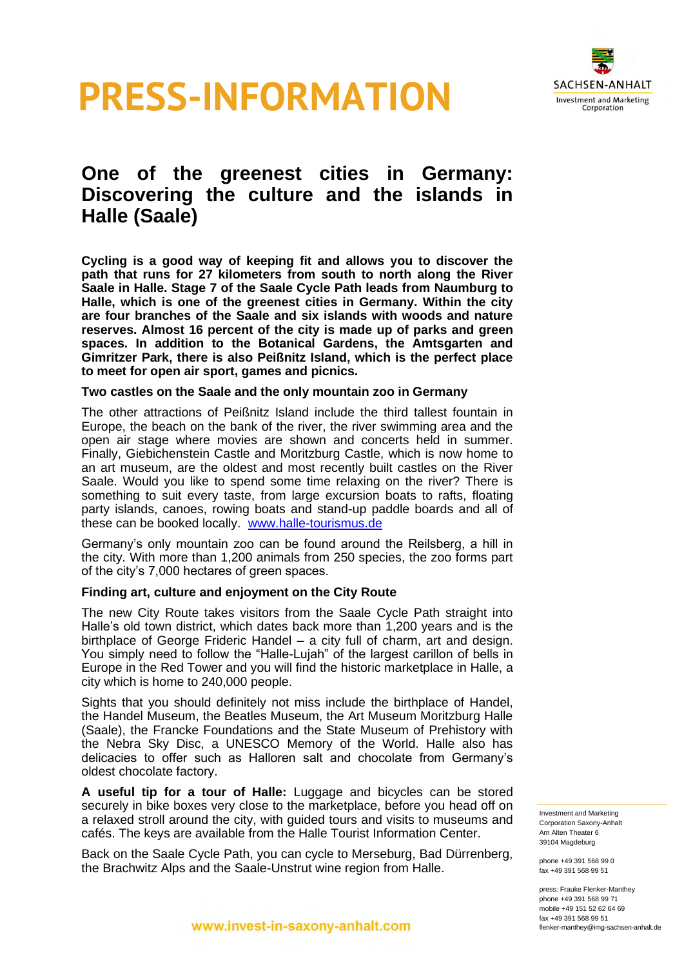



# **One of the greenest cities in Germany: Discovering the culture and the islands in Halle (Saale)**

**Cycling is a good way of keeping fit and allows you to discover the path that runs for 27 kilometers from south to north along the River Saale in Halle. Stage 7 of the Saale Cycle Path leads from Naumburg to Halle, which is one of the greenest cities in Germany. Within the city are four branches of the Saale and six islands with woods and nature reserves. Almost 16 percent of the city is made up of parks and green spaces. In addition to the Botanical Gardens, the Amtsgarten and Gimritzer Park, there is also Peißnitz Island, which is the perfect place to meet for open air sport, games and picnics.**

#### **Two castles on the Saale and the only mountain zoo in Germany**

The other attractions of Peißnitz Island include the third tallest fountain in Europe, the beach on the bank of the river, the river swimming area and the open air stage where movies are shown and concerts held in summer. Finally, Giebichenstein Castle and Moritzburg Castle, which is now home to an art museum, are the oldest and most recently built castles on the River Saale. Would you like to spend some time relaxing on the river? There is something to suit every taste, from large excursion boats to rafts, floating party islands, canoes, rowing boats and stand-up paddle boards and all of these can be booked locally. [www.halle-tourismus.de](http://www.halle-tourismus.de/)

Germany's only mountain zoo can be found around the Reilsberg, a hill in the city. With more than 1,200 animals from 250 species, the zoo forms part of the city's 7,000 hectares of green spaces.

#### **Finding art, culture and enjoyment on the City Route**

The new City Route takes visitors from the Saale Cycle Path straight into Halle's old town district, which dates back more than 1,200 years and is the birthplace of George Frideric Handel **–** a city full of charm, art and design. You simply need to follow the "Halle-Lujah" of the largest carillon of bells in Europe in the Red Tower and you will find the historic marketplace in Halle, a city which is home to 240,000 people.

Sights that you should definitely not miss include the birthplace of Handel, the Handel Museum, the Beatles Museum, the Art Museum Moritzburg Halle (Saale), the Francke Foundations and the State Museum of Prehistory with the Nebra Sky Disc, a UNESCO Memory of the World. Halle also has delicacies to offer such as Halloren salt and chocolate from Germany's oldest chocolate factory.

**A useful tip for a tour of Halle:** Luggage and bicycles can be stored securely in bike boxes very close to the marketplace, before you head off on a relaxed stroll around the city, with guided tours and visits to museums and cafés. The keys are available from the Halle Tourist Information Center.

Back on the Saale Cycle Path, you can cycle to Merseburg, Bad Dürrenberg, the Brachwitz Alps and the Saale-Unstrut wine region from Halle.

Investment and Marketing Corporation Saxony-Anhalt Am Alten Theater 6 39104 Magdeburg

phone +49 391 568 99 0 fax +49 391 568 99 51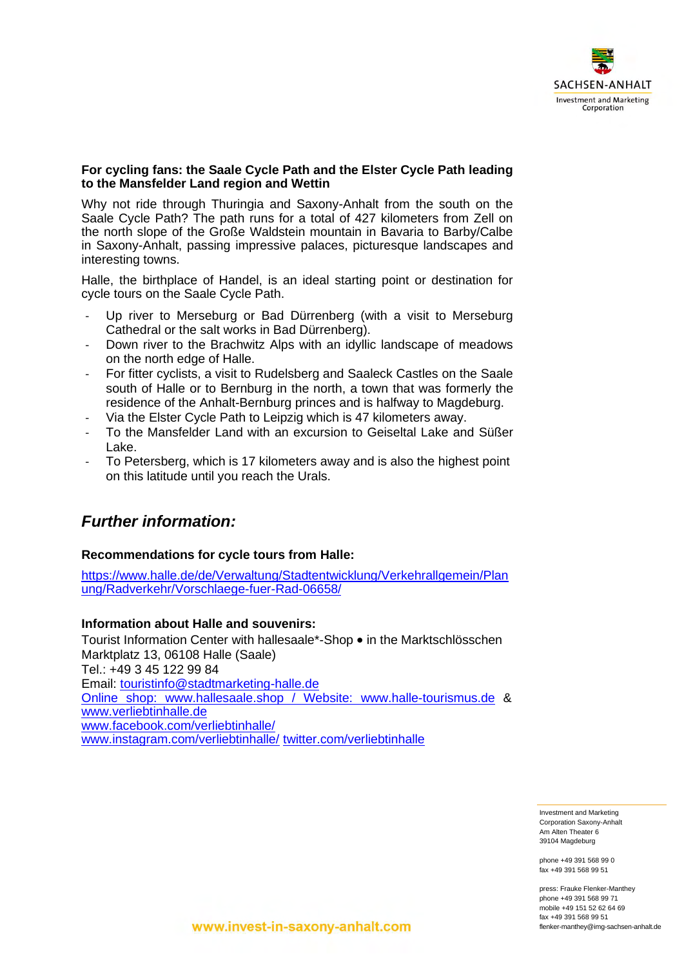

#### **For cycling fans: the Saale Cycle Path and the Elster Cycle Path leading to the Mansfelder Land region and Wettin**

Why not ride through Thuringia and Saxony-Anhalt from the south on the Saale Cycle Path? The path runs for a total of 427 kilometers from Zell on the north slope of the Große Waldstein mountain in Bavaria to Barby/Calbe in Saxony-Anhalt, passing impressive palaces, picturesque landscapes and interesting towns.

Halle, the birthplace of Handel, is an ideal starting point or destination for cycle tours on the Saale Cycle Path.

- Up river to Merseburg or Bad Dürrenberg (with a visit to Merseburg Cathedral or the salt works in Bad Dürrenberg).
- Down river to the Brachwitz Alps with an idyllic landscape of meadows on the north edge of Halle.
- For fitter cyclists, a visit to Rudelsberg and Saaleck Castles on the Saale south of Halle or to Bernburg in the north, a town that was formerly the residence of the Anhalt-Bernburg princes and is halfway to Magdeburg.
- Via the Elster Cycle Path to Leipzig which is 47 kilometers away.
- To the Mansfelder Land with an excursion to Geiseltal Lake and Süßer Lake.
- To Petersberg, which is 17 kilometers away and is also the highest point on this latitude until you reach the Urals.

# *Further information:*

### **Recommendations for cycle tours from Halle:**

[https://www.halle.de/de/Verwaltung/Stadtentwicklung/Verkehrallgemein/Plan](https://www.halle.de/de/Verwaltung/Stadtentwicklung/Verkehrallgemein/Planung/Radverkehr/Vorschlaege-fuer-Rad-06658/) [ung/Radverkehr/Vorschlaege-fuer-Rad-06658/](https://www.halle.de/de/Verwaltung/Stadtentwicklung/Verkehrallgemein/Planung/Radverkehr/Vorschlaege-fuer-Rad-06658/)

### **Information about Halle and souvenirs:**

Tourist Information Center with hallesaale\*-Shop • in the Marktschlösschen Marktplatz 13, 06108 Halle (Saale) Tel.: +49 3 45 122 99 84 Email: [touristinfo@stadtmarketing-halle.de](mailto:touristinfo@stadtmarketing-halle.de) Online shop: www.hallesaale.shop / Website: [www.halle-tourismus.de](http://www.halle-tourismus.de/) & [www.verliebtinhalle.de](http://www.verliebtinhalle.de/) [www.facebook.com/verliebtinhalle/](http://www.facebook.com/verliebtinhalle/) [www.instagram.com/verliebtinhalle/](http://www.instagram.com/verliebtinhalle/) [twitter.com/verliebtinhalle](https://twitter.com/verliebtinhalle)

> Investment and Marketing Corporation Saxony-Anhalt Am Alten Theater 6 39104 Magdeburg

phone +49 391 568 99 0 fax +49 391 568 99 51

press: Frauke Flenker-Manthey phone +49 391 568 99 71 mobile +49 151 52 62 64 69 fax +49 391 568 99 51 flenker-manthey@img-sachsen-anhalt.de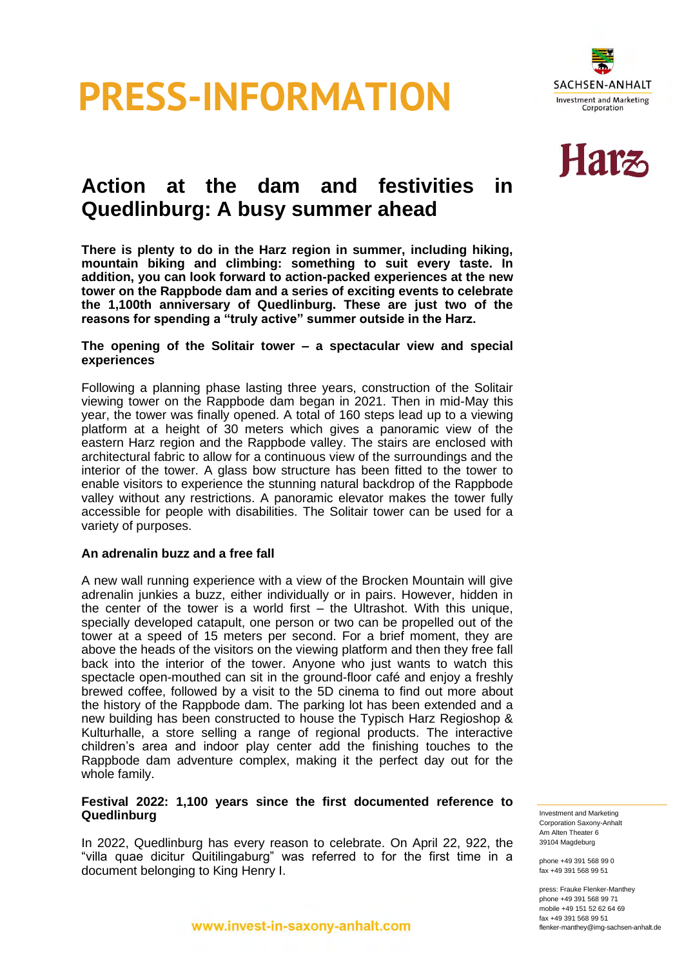



# **Action at the dam and festivities in Quedlinburg: A busy summer ahead**

**There is plenty to do in the Harz region in summer, including hiking, mountain biking and climbing: something to suit every taste. In addition, you can look forward to action-packed experiences at the new tower on the Rappbode dam and a series of exciting events to celebrate the 1,100th anniversary of Quedlinburg. These are just two of the reasons for spending a "truly active" summer outside in the Harz.** 

#### **The opening of the Solitair tower – a spectacular view and special experiences**

Following a planning phase lasting three years, construction of the Solitair viewing tower on the Rappbode dam began in 2021. Then in mid-May this year, the tower was finally opened. A total of 160 steps lead up to a viewing platform at a height of 30 meters which gives a panoramic view of the eastern Harz region and the Rappbode valley. The stairs are enclosed with architectural fabric to allow for a continuous view of the surroundings and the interior of the tower. A glass bow structure has been fitted to the tower to enable visitors to experience the stunning natural backdrop of the Rappbode valley without any restrictions. A panoramic elevator makes the tower fully accessible for people with disabilities. The Solitair tower can be used for a variety of purposes.

#### **An adrenalin buzz and a free fall**

A new wall running experience with a view of the Brocken Mountain will give adrenalin junkies a buzz, either individually or in pairs. However, hidden in the center of the tower is a world first – the Ultrashot. With this unique, specially developed catapult, one person or two can be propelled out of the tower at a speed of 15 meters per second. For a brief moment, they are above the heads of the visitors on the viewing platform and then they free fall back into the interior of the tower. Anyone who just wants to watch this spectacle open-mouthed can sit in the ground-floor café and enjoy a freshly brewed coffee, followed by a visit to the 5D cinema to find out more about the history of the Rappbode dam. The parking lot has been extended and a new building has been constructed to house the Typisch Harz Regioshop & Kulturhalle, a store selling a range of regional products. The interactive children's area and indoor play center add the finishing touches to the Rappbode dam adventure complex, making it the perfect day out for the whole family.

#### **Festival 2022: 1,100 years since the first documented reference to Quedlinburg**

In 2022, Quedlinburg has every reason to celebrate. On April 22, 922, the "villa quae dicitur Quitilingaburg" was referred to for the first time in a document belonging to King Henry I.

Investment and Marketing Corporation Saxony-Anhalt Am Alten Theater 6 39104 Magdeburg

phone +49 391 568 99 0 fax +49 391 568 99 51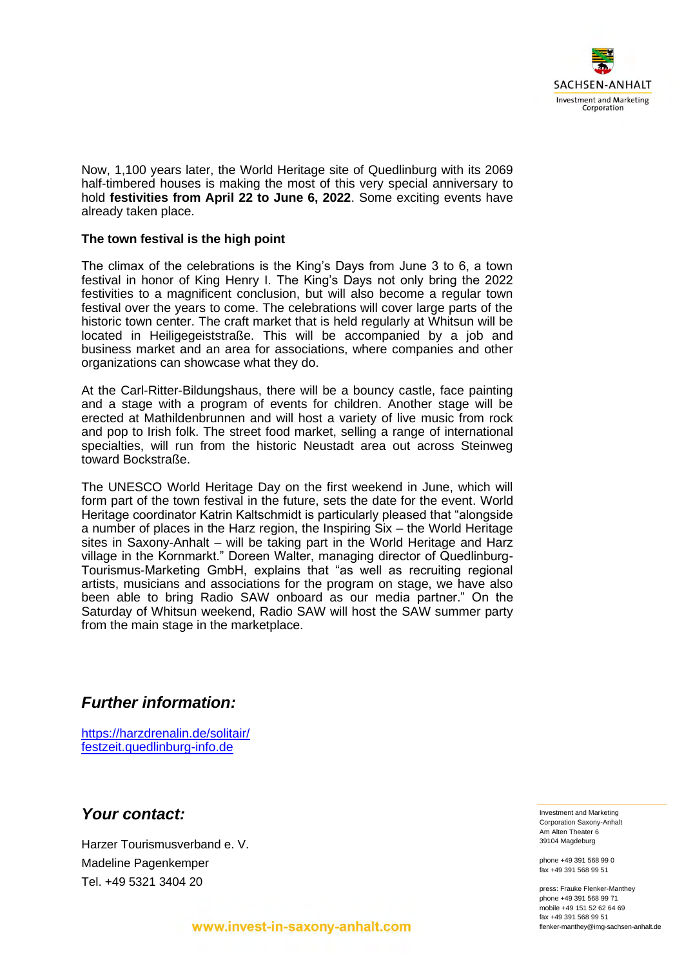

Now, 1,100 years later, the World Heritage site of Quedlinburg with its 2069 half-timbered houses is making the most of this very special anniversary to hold **festivities from April 22 to June 6, 2022**. Some exciting events have already taken place.

#### **The town festival is the high point**

The climax of the celebrations is the King's Days from June 3 to 6, a town festival in honor of King Henry I. The King's Days not only bring the 2022 festivities to a magnificent conclusion, but will also become a regular town festival over the years to come. The celebrations will cover large parts of the historic town center. The craft market that is held regularly at Whitsun will be located in Heiligegeiststraße. This will be accompanied by a job and business market and an area for associations, where companies and other organizations can showcase what they do.

At the Carl-Ritter-Bildungshaus, there will be a bouncy castle, face painting and a stage with a program of events for children. Another stage will be erected at Mathildenbrunnen and will host a variety of live music from rock and pop to Irish folk. The street food market, selling a range of international specialties, will run from the historic Neustadt area out across Steinweg toward Bockstraße.

The UNESCO World Heritage Day on the first weekend in June, which will form part of the town festival in the future, sets the date for the event. World Heritage coordinator Katrin Kaltschmidt is particularly pleased that "alongside a number of places in the Harz region, the Inspiring Six – the World Heritage sites in Saxony-Anhalt – will be taking part in the World Heritage and Harz village in the Kornmarkt." Doreen Walter, managing director of Quedlinburg-Tourismus-Marketing GmbH, explains that "as well as recruiting regional artists, musicians and associations for the program on stage, we have also been able to bring Radio SAW onboard as our media partner." On the Saturday of Whitsun weekend, Radio SAW will host the SAW summer party from the main stage in the marketplace.

## *Further information:*

<https://harzdrenalin.de/solitair/> festzeit.quedlinburg-info.de

## *Your contact:*

Harzer Tourismusverband e. V. Madeline Pagenkemper Tel. +49 5321 3404 20

Investment and Marketing Corporation Saxony-Anhalt Am Alten Theater 6 39104 Magdeburg

phone +49 391 568 99 0 fax +49 391 568 99 51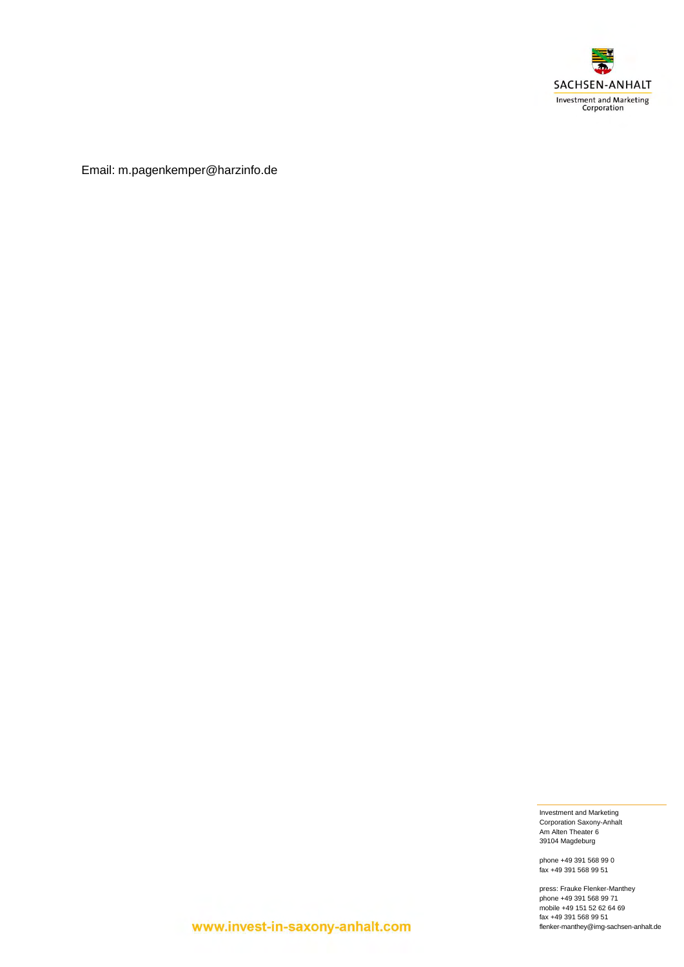

Email: m.pagenkemper@harzinfo.de

Investment and Marketing Corporation Saxony-Anhalt Am Alten Theater 6 39104 Magdeburg

phone +49 391 568 99 0 fax +49 391 568 99 51

press: Frauke Flenker-Manthey phone +49 391 568 99 71 mobile +49 151 52 62 64 69 fax +49 391 568 99 51 flenker-manthey@img-sachsen-anhalt.de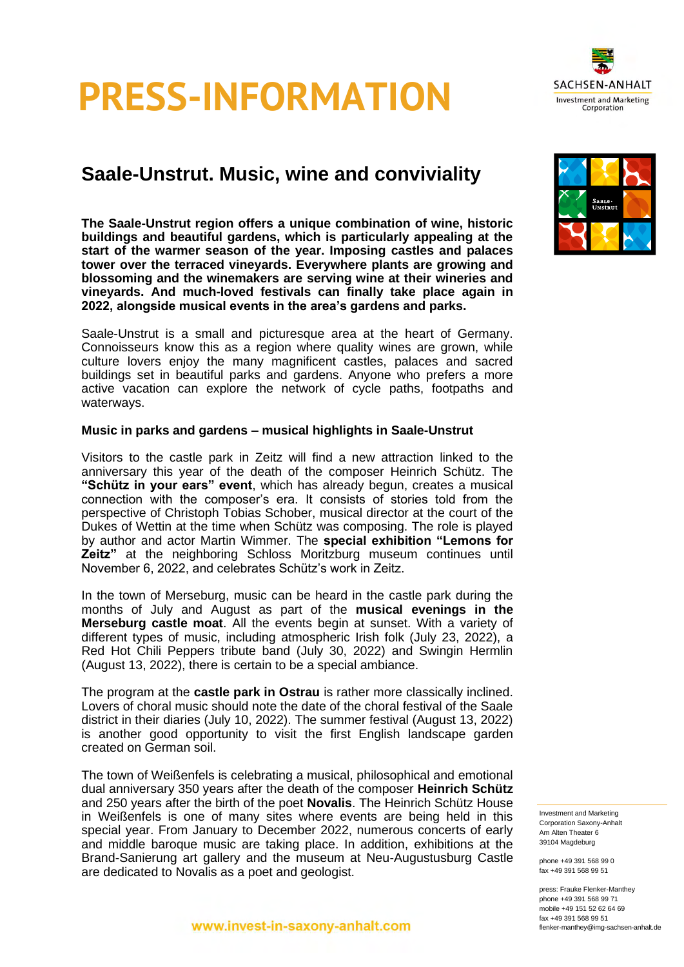

# **Saale-Unstrut. Music, wine and conviviality**

**The Saale-Unstrut region offers a unique combination of wine, historic buildings and beautiful gardens, which is particularly appealing at the start of the warmer season of the year. Imposing castles and palaces tower over the terraced vineyards. Everywhere plants are growing and blossoming and the winemakers are serving wine at their wineries and vineyards. And much-loved festivals can finally take place again in 2022, alongside musical events in the area's gardens and parks.**

Saale-Unstrut is a small and picturesque area at the heart of Germany. Connoisseurs know this as a region where quality wines are grown, while culture lovers enjoy the many magnificent castles, palaces and sacred buildings set in beautiful parks and gardens. Anyone who prefers a more active vacation can explore the network of cycle paths, footpaths and waterways.

#### **Music in parks and gardens – musical highlights in Saale-Unstrut**

Visitors to the castle park in Zeitz will find a new attraction linked to the anniversary this year of the death of the composer Heinrich Schütz. The **"Schütz in your ears" event**, which has already begun, creates a musical connection with the composer's era. It consists of stories told from the perspective of Christoph Tobias Schober, musical director at the court of the Dukes of Wettin at the time when Schütz was composing. The role is played by author and actor Martin Wimmer. The **special exhibition "Lemons for Zeitz"** at the neighboring Schloss Moritzburg museum continues until November 6, 2022, and celebrates Schütz's work in Zeitz.

In the town of Merseburg, music can be heard in the castle park during the months of July and August as part of the **musical evenings in the Merseburg castle moat**. All the events begin at sunset. With a variety of different types of music, including atmospheric Irish folk (July 23, 2022), a Red Hot Chili Peppers tribute band (July 30, 2022) and Swingin Hermlin (August 13, 2022), there is certain to be a special ambiance.

The program at the **castle park in Ostrau** is rather more classically inclined. Lovers of choral music should note the date of the choral festival of the Saale district in their diaries (July 10, 2022). The summer festival (August 13, 2022) is another good opportunity to visit the first English landscape garden created on German soil.

The town of Weißenfels is celebrating a musical, philosophical and emotional dual anniversary 350 years after the death of the composer **Heinrich Schütz** and 250 years after the birth of the poet **Novalis**. The Heinrich Schütz House in Weißenfels is one of many sites where events are being held in this special year. From January to December 2022, numerous concerts of early and middle baroque music are taking place. In addition, exhibitions at the Brand-Sanierung art gallery and the museum at Neu-Augustusburg Castle are dedicated to Novalis as a poet and geologist.



phone +49 391 568 99 0 fax +49 391 568 99 51

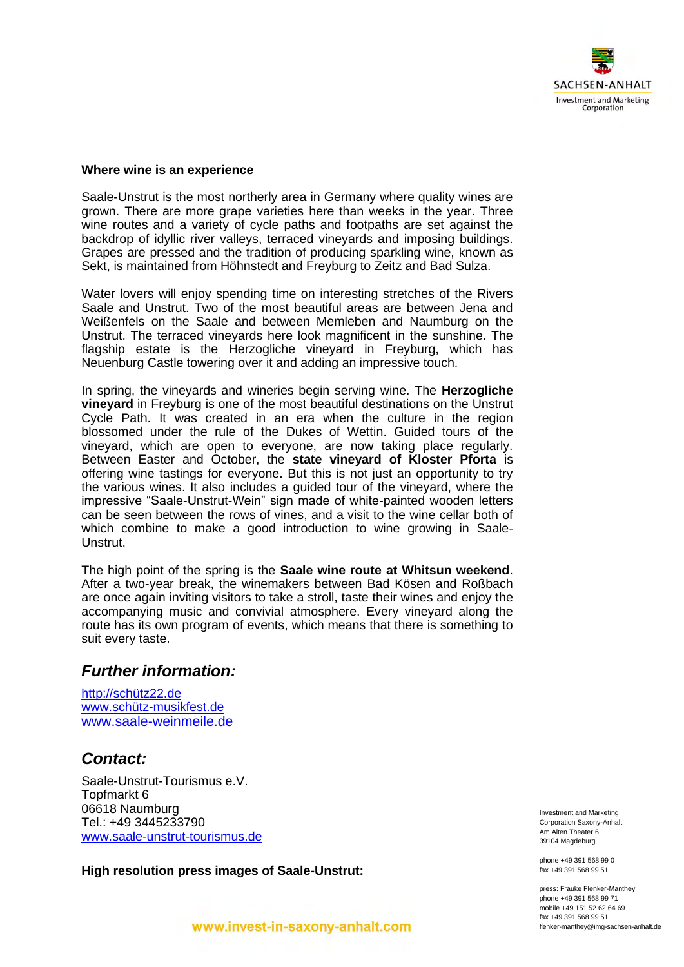

#### **Where wine is an experience**

Saale-Unstrut is the most northerly area in Germany where quality wines are grown. There are more grape varieties here than weeks in the year. Three wine routes and a variety of cycle paths and footpaths are set against the backdrop of idyllic river valleys, terraced vineyards and imposing buildings. Grapes are pressed and the tradition of producing sparkling wine, known as Sekt, is maintained from Höhnstedt and Freyburg to Zeitz and Bad Sulza.

Water lovers will enjoy spending time on interesting stretches of the Rivers Saale and Unstrut. Two of the most beautiful areas are between Jena and Weißenfels on the Saale and between Memleben and Naumburg on the Unstrut. The terraced vineyards here look magnificent in the sunshine. The flagship estate is the Herzogliche vineyard in Freyburg, which has Neuenburg Castle towering over it and adding an impressive touch.

In spring, the vineyards and wineries begin serving wine. The **Herzogliche vineyard** in Freyburg is one of the most beautiful destinations on the Unstrut Cycle Path. It was created in an era when the culture in the region blossomed under the rule of the Dukes of Wettin. Guided tours of the vineyard, which are open to everyone, are now taking place regularly. Between Easter and October, the **state vineyard of Kloster Pforta** is offering wine tastings for everyone. But this is not just an opportunity to try the various wines. It also includes a guided tour of the vineyard, where the impressive "Saale-Unstrut-Wein" sign made of white-painted wooden letters can be seen between the rows of vines, and a visit to the wine cellar both of which combine to make a good introduction to wine growing in Saale-Unstrut.

The high point of the spring is the **Saale wine route at Whitsun weekend**. After a two-year break, the winemakers between Bad Kösen and Roßbach are once again inviting visitors to take a stroll, taste their wines and enjoy the accompanying music and convivial atmosphere. Every vineyard along the route has its own program of events, which means that there is something to suit every taste.

## *Further information:*

[http://schütz22.de](http://schütz22.de/) [www.schütz-musikfest.de](http://www.schütz-musikfest.de/) [www.saale-weinmeile.de](http://www.saale-weinmeile.de/)

## *Contact:*

Saale-Unstrut-Tourismus e.V. Topfmarkt 6 06618 Naumburg Tel.: +49 3445233790 [www.saale-unstrut-tourismus.de](https://www.saale-unstrut-tourismus.de/en/)

**High resolution press images of Saale-Unstrut:**

Investment and Marketing Corporation Saxony-Anhalt Am Alten Theater 6 39104 Magdeburg

phone +49 391 568 99 0 fax +49 391 568 99 51

press: Frauke Flenker-Manthey phone +49 391 568 99 71 mobile +49 151 52 62 64 69 fax +49 391 568 99 51 flenker-manthey@img-sachsen-anhalt.de